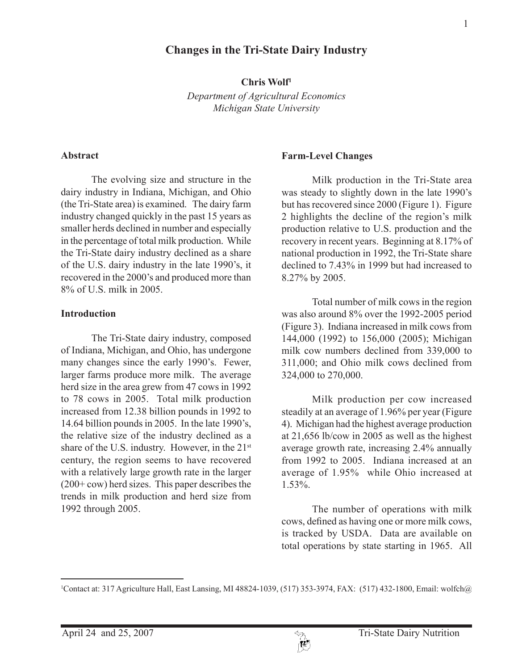# **Changes in the Tri-State Dairy Industry**

**Chris Wolf1**

*Department of Agricultural Economics Michigan State University*

#### **Abstract**

The evolving size and structure in the dairy industry in Indiana, Michigan, and Ohio (the Tri-State area) is examined. The dairy farm industry changed quickly in the past 15 years as smaller herds declined in number and especially in the percentage of total milk production. While the Tri-State dairy industry declined as a share of the U.S. dairy industry in the late 1990's, it recovered in the 2000's and produced more than 8% of U.S. milk in 2005.

#### **Introduction**

The Tri-State dairy industry, composed of Indiana, Michigan, and Ohio, has undergone many changes since the early 1990's. Fewer, larger farms produce more milk. The average herd size in the area grew from 47 cows in 1992 to 78 cows in 2005. Total milk production increased from 12.38 billion pounds in 1992 to 14.64 billion pounds in 2005. In the late 1990's, the relative size of the industry declined as a share of the U.S. industry. However, in the 21<sup>st</sup> century, the region seems to have recovered with a relatively large growth rate in the larger (200+ cow) herd sizes. This paper describes the trends in milk production and herd size from 1992 through 2005.

### **Farm-Level Changes**

Milk production in the Tri-State area was steady to slightly down in the late 1990's but has recovered since 2000 (Figure 1). Figure 2 highlights the decline of the region's milk production relative to U.S. production and the recovery in recent years. Beginning at 8.17% of national production in 1992, the Tri-State share declined to 7.43% in 1999 but had increased to 8.27% by 2005.

Total number of milk cows in the region was also around 8% over the 1992-2005 period (Figure 3). Indiana increased in milk cows from 144,000 (1992) to 156,000 (2005); Michigan milk cow numbers declined from 339,000 to 311,000; and Ohio milk cows declined from 324,000 to 270,000.

Milk production per cow increased steadily at an average of 1.96% per year (Figure 4). Michigan had the highest average production at 21,656 lb/cow in 2005 as well as the highest average growth rate, increasing 2.4% annually from 1992 to 2005. Indiana increased at an average of 1.95% while Ohio increased at 1.53%.

The number of operations with milk cows, defined as having one or more milk cows, is tracked by USDA. Data are available on total operations by state starting in 1965. All

<sup>1</sup> Contact at: 317 Agriculture Hall, East Lansing, MI 48824-1039, (517) 353-3974, FAX: (517) 432-1800, Email: wolfch@

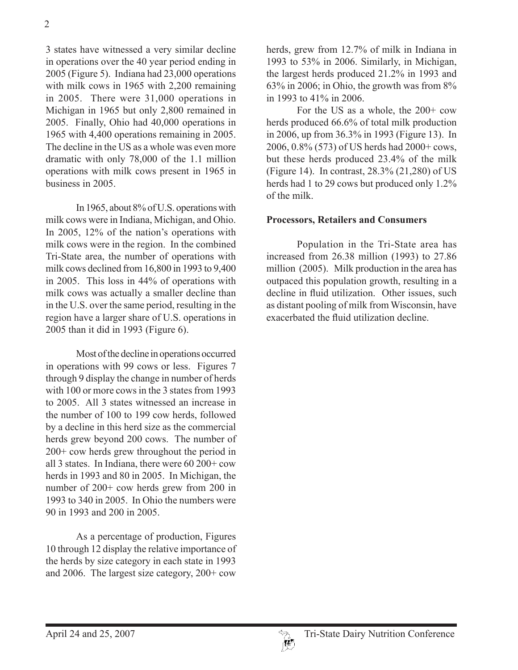3 states have witnessed a very similar decline in operations over the 40 year period ending in 2005 (Figure 5). Indiana had 23,000 operations with milk cows in 1965 with 2,200 remaining in 2005. There were 31,000 operations in Michigan in 1965 but only 2,800 remained in 2005. Finally, Ohio had 40,000 operations in 1965 with 4,400 operations remaining in 2005. The decline in the US as a whole was even more dramatic with only 78,000 of the 1.1 million operations with milk cows present in 1965 in business in 2005.

In 1965, about 8% of U.S. operations with milk cows were in Indiana, Michigan, and Ohio. In 2005, 12% of the nation's operations with milk cows were in the region. In the combined Tri-State area, the number of operations with milk cows declined from 16,800 in 1993 to 9,400 in 2005. This loss in 44% of operations with milk cows was actually a smaller decline than in the U.S. over the same period, resulting in the region have a larger share of U.S. operations in 2005 than it did in 1993 (Figure 6).

Most of the decline in operations occurred in operations with 99 cows or less. Figures 7 through 9 display the change in number of herds with 100 or more cows in the 3 states from 1993 to 2005. All 3 states witnessed an increase in the number of 100 to 199 cow herds, followed by a decline in this herd size as the commercial herds grew beyond 200 cows. The number of 200+ cow herds grew throughout the period in all 3 states. In Indiana, there were 60 200+ cow herds in 1993 and 80 in 2005. In Michigan, the number of 200+ cow herds grew from 200 in 1993 to 340 in 2005. In Ohio the numbers were 90 in 1993 and 200 in 2005.

As a percentage of production, Figures 10 through 12 display the relative importance of the herds by size category in each state in 1993 and 2006. The largest size category, 200+ cow

herds, grew from 12.7% of milk in Indiana in 1993 to 53% in 2006. Similarly, in Michigan, the largest herds produced 21.2% in 1993 and 63% in 2006; in Ohio, the growth was from 8% in 1993 to 41% in 2006.

For the US as a whole, the 200+ cow herds produced 66.6% of total milk production in 2006, up from 36.3% in 1993 (Figure 13). In 2006, 0.8% (573) of US herds had 2000+ cows, but these herds produced 23.4% of the milk (Figure 14). In contrast, 28.3% (21,280) of US herds had 1 to 29 cows but produced only 1.2% of the milk.

## **Processors, Retailers and Consumers**

Population in the Tri-State area has increased from 26.38 million (1993) to 27.86 million (2005). Milk production in the area has outpaced this population growth, resulting in a decline in fluid utilization. Other issues, such as distant pooling of milk from Wisconsin, have exacerbated the fluid utilization decline.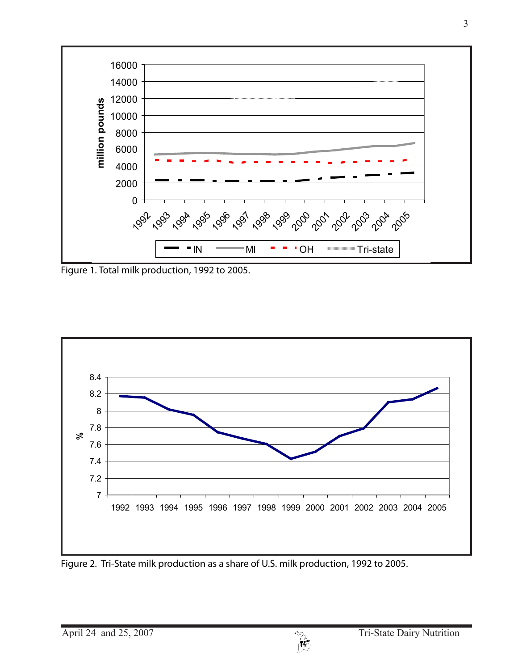

Figure 1. Total milk production, 1992 to 2005.



Figure 2. Tri-State milk production as a share of U.S. milk production, 1992 to 2005.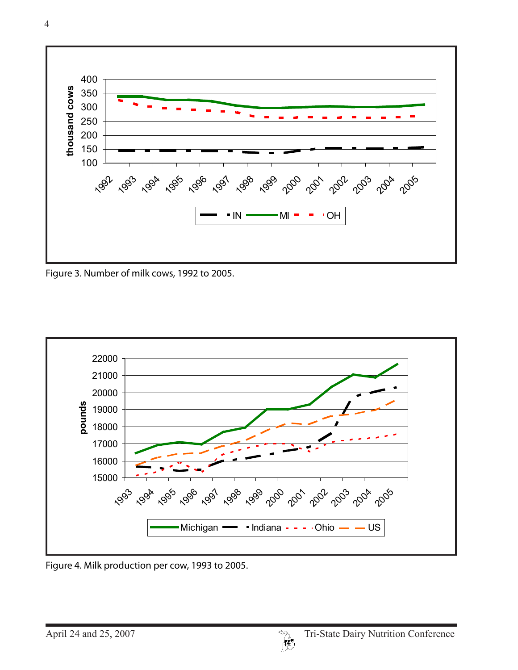

Figure 3. Number of milk cows, 1992 to 2005.



Figure 4. Milk production per cow, 1993 to 2005.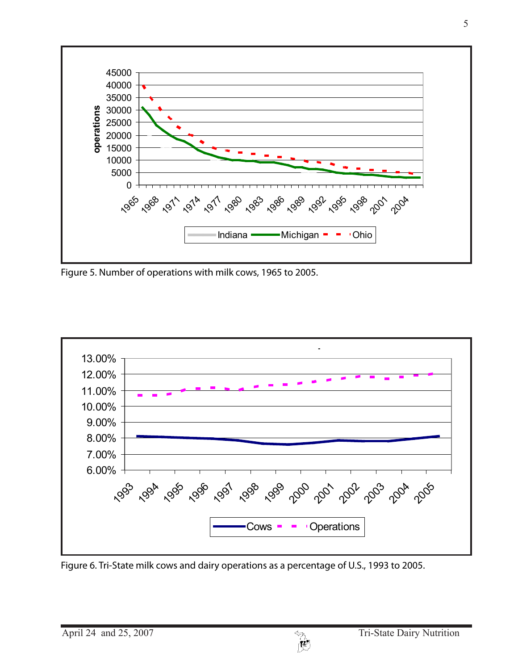

Figure 5. Number of operations with milk cows, 1965 to 2005.



Figure 6. Tri-State milk cows and dairy operations as a percentage of U.S., 1993 to 2005.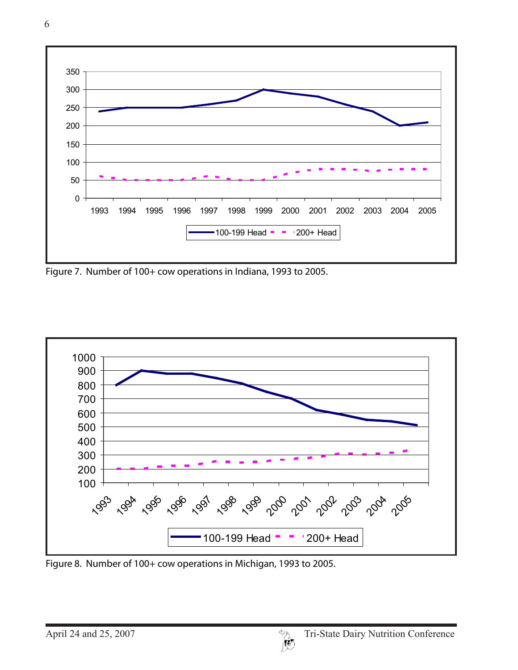

Figure 7. Number of 100+ cow operations in Indiana, 1993 to 2005.



Figure 8. Number of 100+ cow operations in Michigan, 1993 to 2005.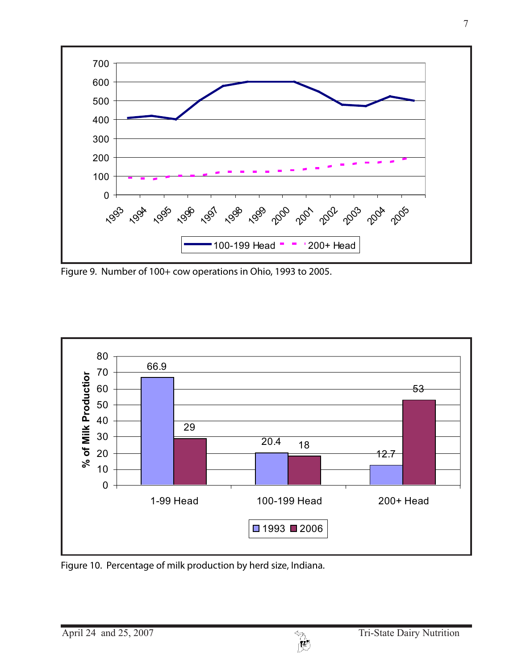

Figure 9. Number of 100+ cow operations in Ohio, 1993 to 2005.



Figure 10. Percentage of milk production by herd size, Indiana.

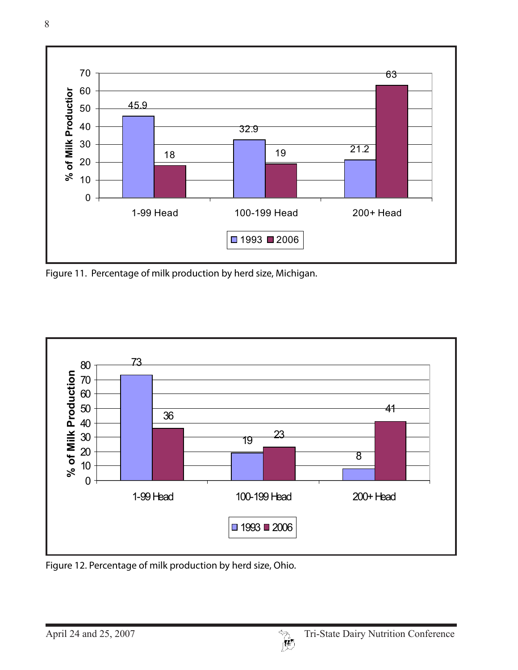

Figure 11. Percentage of milk production by herd size, Michigan.



Figure 12. Percentage of milk production by herd size, Ohio.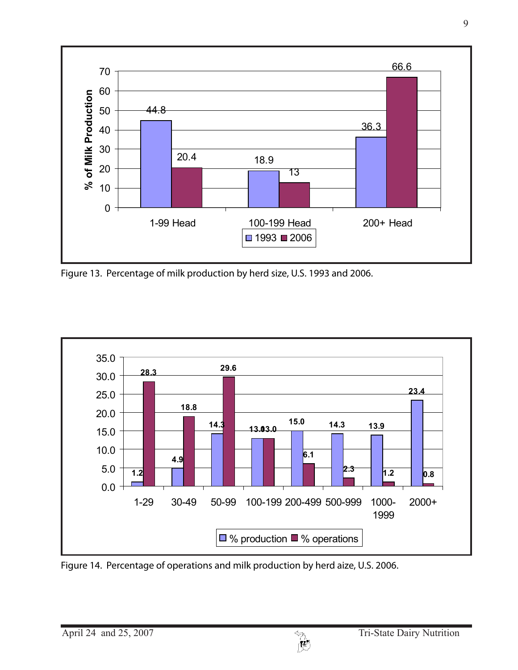

Figure 13. Percentage of milk production by herd size, U.S. 1993 and 2006.



Figure 14. Percentage of operations and milk production by herd aize, U.S. 2006.